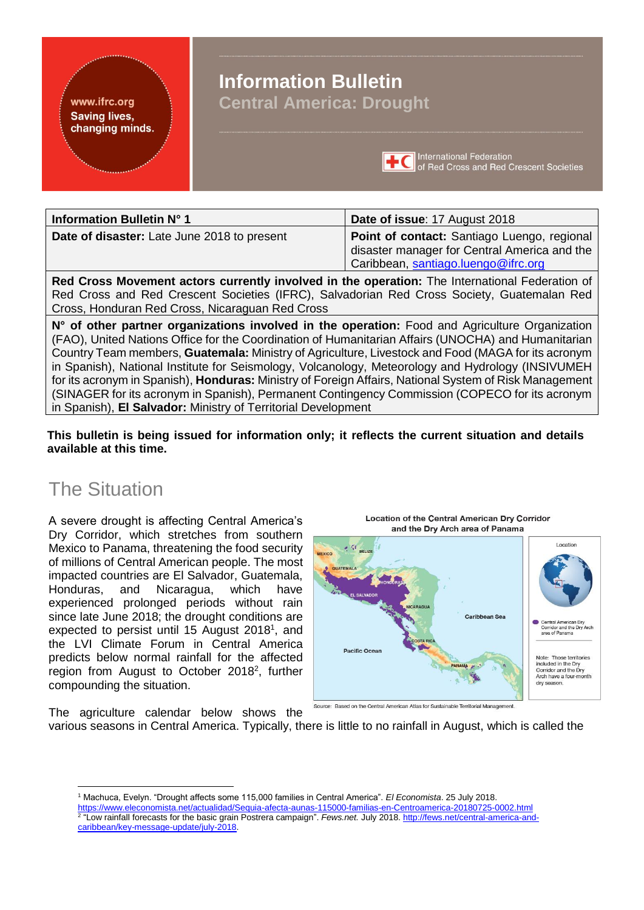## www.ifrc.org **Saving lives,** changing minds.

# **Information Bulletin Central America: Drought**



| Information Bulletin N° 1                                                                                                                                                                                                                                                                                                                                                                                                                                                                                                                | Date of issue: 17 August 2018                                                                                                      |  |
|------------------------------------------------------------------------------------------------------------------------------------------------------------------------------------------------------------------------------------------------------------------------------------------------------------------------------------------------------------------------------------------------------------------------------------------------------------------------------------------------------------------------------------------|------------------------------------------------------------------------------------------------------------------------------------|--|
| Date of disaster: Late June 2018 to present                                                                                                                                                                                                                                                                                                                                                                                                                                                                                              | Point of contact: Santiago Luengo, regional<br>disaster manager for Central America and the<br>Caribbean, santiago.luengo@ifrc.org |  |
| Red Cross Movement actors currently involved in the operation: The International Federation of<br>Red Cross and Red Crescent Societies (IFRC), Salvadorian Red Cross Society, Guatemalan Red<br>Cross, Honduran Red Cross, Nicaraguan Red Cross                                                                                                                                                                                                                                                                                          |                                                                                                                                    |  |
| N° of other partner organizations involved in the operation: Food and Agriculture Organization<br>(FAO), United Nations Office for the Coordination of Humanitarian Affairs (UNOCHA) and Humanitarian<br>Country Team members, <b>Guatemala:</b> Ministry of Agriculture, Livestock and Food (MAGA for its acronym<br>in Spanish), National Institute for Seismology, Volcanology, Meteorology and Hydrology (INSIVUMEH<br>for its acronym in Spanish), <b>Honduras:</b> Ministry of Foreign Affairs, National System of Risk Management |                                                                                                                                    |  |

**This bulletin is being issued for information only; it reflects the current situation and details available at this time.** 

(SINAGER for its acronym in Spanish), Permanent Contingency Commission (COPECO for its acronym

# The Situation

<u>.</u>

A severe drought is affecting Central America's Dry Corridor, which stretches from southern Mexico to Panama, threatening the food security of millions of Central American people. The most impacted countries are El Salvador, Guatemala, Honduras, and Nicaragua, which have experienced prolonged periods without rain since late June 2018; the drought conditions are expected to persist until 15 August 2018<sup>1</sup>, and the LVI Climate Forum in Central America predicts below normal rainfall for the affected region from August to October 2018<sup>2</sup>, further compounding the situation.

The agriculture calendar below shows the

in Spanish), **El Salvador:** Ministry of Territorial Development



Source: Based on the Central American Atlas for Sustainable Territorial Management.

various seasons in Central America. Typically, there is little to no rainfall in August, which is called the

<sup>1</sup> Machuca, Evelyn. "Drought affects some 115,000 families in Central America". *El Economista*. 25 July 2018.

<https://www.eleconomista.net/actualidad/Sequia-afecta-aunas-115000-familias-en-Centroamerica-20180725-0002.html> 2 "Low rainfall forecasts for the basic grain Postrera campaign". *Fews.net.* July 2018. [http://fews.net/central-america-and](http://fews.net/central-america-and-caribbean/key-message-update/july-2018)[caribbean/key-message-update/july-2018.](http://fews.net/central-america-and-caribbean/key-message-update/july-2018)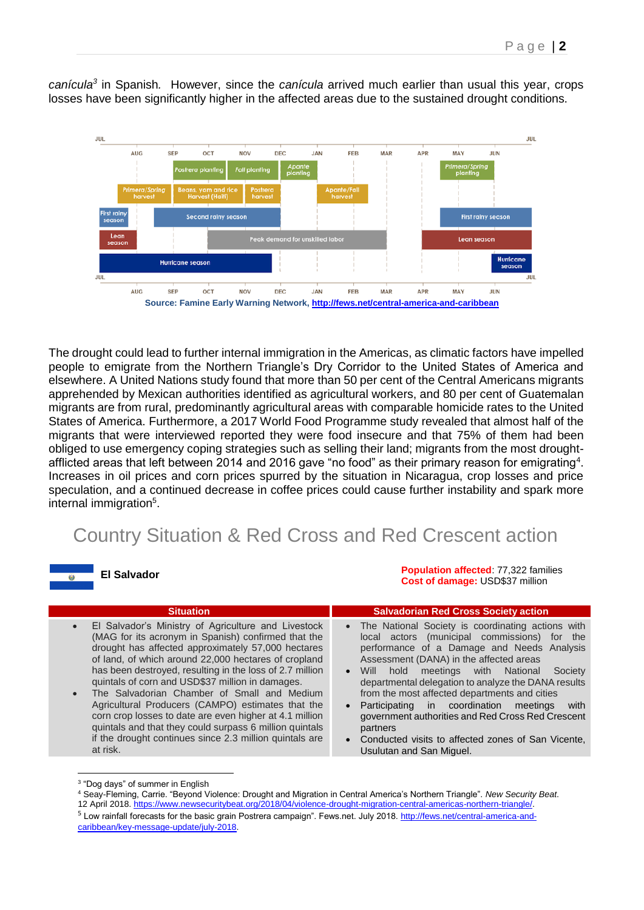

*canícula<sup>3</sup>* in Spanish*.* However, since the *canícula* arrived much earlier than usual this year, crops losses have been significantly higher in the affected areas due to the sustained drought conditions.

The drought could lead to further internal immigration in the Americas, as climatic factors have impelled people to emigrate from the Northern Triangle's Dry Corridor to the United States of America and elsewhere. A United Nations study found that more than 50 per cent of the Central Americans migrants apprehended by Mexican authorities identified as agricultural workers, and 80 per cent of Guatemalan migrants are from rural, predominantly agricultural areas with comparable homicide rates to the United States of America. Furthermore, a 2017 World Food Programme study revealed that almost half of the migrants that were interviewed reported they were food insecure and that 75% of them had been obliged to use emergency coping strategies such as selling their land; migrants from the most droughtafflicted areas that left between 2014 and 2016 gave "no food" as their primary reason for emigrating<sup>4</sup>. Increases in oil prices and corn prices spurred by the situation in Nicaragua, crop losses and price speculation, and a continued decrease in coffee prices could cause further instability and spark more internal immigration<sup>5</sup>.

# Country Situation & Red Cross and Red Crescent action



**Population affected**: 77,322 families **Cost of damage:** USD\$37 million

| <b>Situation</b>                                                                                                                                                                                                                                                                                                                                                                                                                                                                                                                                                                                                                                                    | <b>Salvadorian Red Cross Society action</b>                                                                                                                                                                                                                                                                                                                                                                                                                                                                                                                                         |
|---------------------------------------------------------------------------------------------------------------------------------------------------------------------------------------------------------------------------------------------------------------------------------------------------------------------------------------------------------------------------------------------------------------------------------------------------------------------------------------------------------------------------------------------------------------------------------------------------------------------------------------------------------------------|-------------------------------------------------------------------------------------------------------------------------------------------------------------------------------------------------------------------------------------------------------------------------------------------------------------------------------------------------------------------------------------------------------------------------------------------------------------------------------------------------------------------------------------------------------------------------------------|
| El Salvador's Ministry of Agriculture and Livestock<br>$\bullet$<br>(MAG for its acronym in Spanish) confirmed that the<br>drought has affected approximately 57,000 hectares<br>of land, of which around 22,000 hectares of cropland<br>has been destroyed, resulting in the loss of 2.7 million<br>quintals of corn and USD\$37 million in damages.<br>The Salvadorian Chamber of Small and Medium<br>$\bullet$<br>Agricultural Producers (CAMPO) estimates that the<br>corn crop losses to date are even higher at 4.1 million<br>quintals and that they could surpass 6 million quintals<br>if the drought continues since 2.3 million quintals are<br>at risk. | The National Society is coordinating actions with<br>local actors (municipal commissions) for the<br>performance of a Damage and Needs Analysis<br>Assessment (DANA) in the affected areas<br>meetings with National<br>hold<br><b>Will</b><br>Society<br>$\bullet$<br>departmental delegation to analyze the DANA results<br>from the most affected departments and cities<br>Participating in coordination<br>with<br>meetings<br>government authorities and Red Cross Red Crescent<br>partners<br>Conducted visits to affected zones of San Vicente,<br>Usulutan and San Miguel. |
|                                                                                                                                                                                                                                                                                                                                                                                                                                                                                                                                                                                                                                                                     |                                                                                                                                                                                                                                                                                                                                                                                                                                                                                                                                                                                     |

<sup>&</sup>lt;sup>3</sup> "Dog days" of summer in English

<sup>5</sup> Low rainfall forecasts for the basic grain Postrera campaign". Fews.net. July 2018[. http://fews.net/central-america-and](http://fews.net/central-america-and-caribbean/key-message-update/july-2018)[caribbean/key-message-update/july-2018.](http://fews.net/central-america-and-caribbean/key-message-update/july-2018)

<sup>4</sup> Seay-Fleming, Carrie. "Beyond Violence: Drought and Migration in Central America's Northern Triangle". *New Security Beat*. 12 April 2018[. https://www.newsecuritybeat.org/2018/04/violence-drought-migration-central-americas-northern-triangle/.](https://www.newsecuritybeat.org/2018/04/violence-drought-migration-central-americas-northern-triangle/)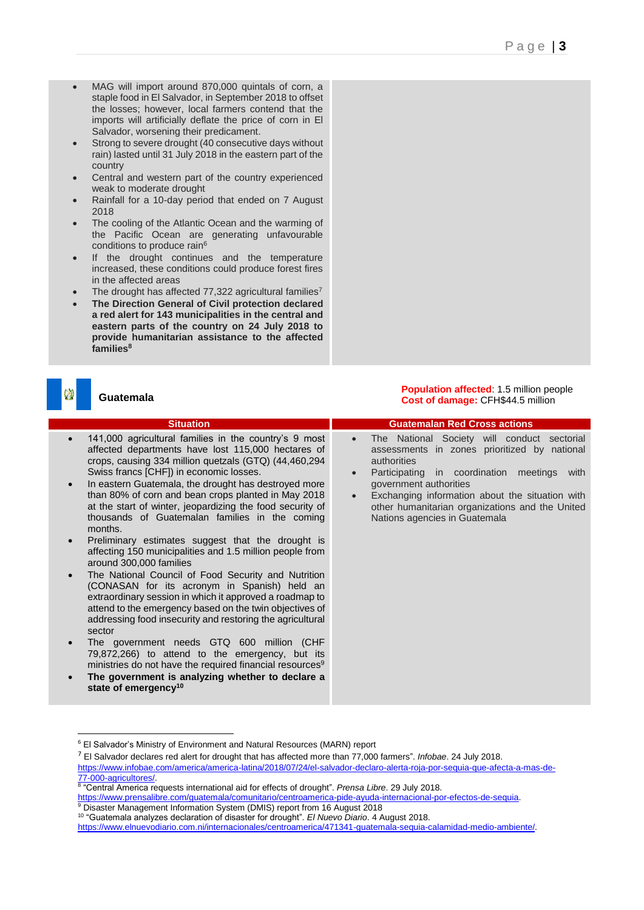- MAG will import around 870,000 quintals of corn, a staple food in El Salvador, in September 2018 to offset the losses; however, local farmers contend that the imports will artificially deflate the price of corn in El Salvador, worsening their predicament.
- Strong to severe drought (40 consecutive days without rain) lasted until 31 July 2018 in the eastern part of the country
- Central and western part of the country experienced weak to moderate drought
- Rainfall for a 10-day period that ended on 7 August 2018
- The cooling of the Atlantic Ocean and the warming of the Pacific Ocean are generating unfavourable conditions to produce rain<sup>6</sup>
- If the drought continues and the temperature increased, these conditions could produce forest fires in the affected areas
- The drought has affected 77,322 agricultural families<sup>7</sup>
- **The Direction General of Civil protection declared a red alert for 143 municipalities in the central and eastern parts of the country on 24 July 2018 to provide humanitarian assistance to the affected families<sup>8</sup>**

# **Guatemala**

1

- 141,000 agricultural families in the country's 9 most affected departments have lost 115,000 hectares of crops, causing 334 million quetzals (GTQ) (44,460,294 Swiss francs [CHF]) in economic losses.
- In eastern Guatemala, the drought has destroyed more than 80% of corn and bean crops planted in May 2018 at the start of winter, jeopardizing the food security of thousands of Guatemalan families in the coming months.
- Preliminary estimates suggest that the drought is affecting 150 municipalities and 1.5 million people from around 300,000 families
- The National Council of Food Security and Nutrition (CONASAN for its acronym in Spanish) held an extraordinary session in which it approved a roadmap to attend to the emergency based on the twin objectives of addressing food insecurity and restoring the agricultural sector
- The government needs GTQ 600 million (CHF 79,872,266) to attend to the emergency, but its ministries do not have the required financial resources<sup>9</sup>
- **The government is analyzing whether to declare a state of emergency<sup>10</sup>**

**Population affected: 1.5 million people Cost of damage:** CFH\$44.5 million

#### **Situation Guatemalan Red Cross actions** The National Society will conduct sectorial assessments in zones prioritized by national authorities

- Participating in coordination meetings with government authorities
- Exchanging information about the situation with other humanitarian organizations and the United Nations agencies in Guatemala

<sup>9</sup> Disaster Management Information System (DMIS) report from 16 August 2018

<sup>6</sup> El Salvador's Ministry of Environment and Natural Resources (MARN) report

<sup>7</sup> El Salvador declares red alert for drought that has affected more than 77,000 farmers". *Infobae*. 24 July 2018.

[https://www.infobae.com/america/america-latina/2018/07/24/el-salvador-declaro-alerta-roja-por-sequia-que-afecta-a-mas-de-](https://www.infobae.com/america/america-latina/2018/07/24/el-salvador-declaro-alerta-roja-por-sequia-que-afecta-a-mas-de-77-000-agricultores/)

[<sup>77-000-</sup>agricultores/.](https://www.infobae.com/america/america-latina/2018/07/24/el-salvador-declaro-alerta-roja-por-sequia-que-afecta-a-mas-de-77-000-agricultores/) 8 "Central America requests international aid for effects of drought". *Prensa Libre*. 29 July 2018.

[https://www.prensalibre.com/guatemala/comunitario/centroamerica-pide-ayuda-internacional-por-efectos-de-sequia.](https://www.prensalibre.com/guatemala/comunitario/centroamerica-pide-ayuda-internacional-por-efectos-de-sequia)

<sup>10</sup> "Guatemala analyzes declaration of disaster for drought". *El Nuevo Diario*. 4 August 2018.

[https://www.elnuevodiario.com.ni/internacionales/centroamerica/471341-guatemala-sequia-calamidad-medio-ambiente/.](https://www.elnuevodiario.com.ni/internacionales/centroamerica/471341-guatemala-sequia-calamidad-medio-ambiente/)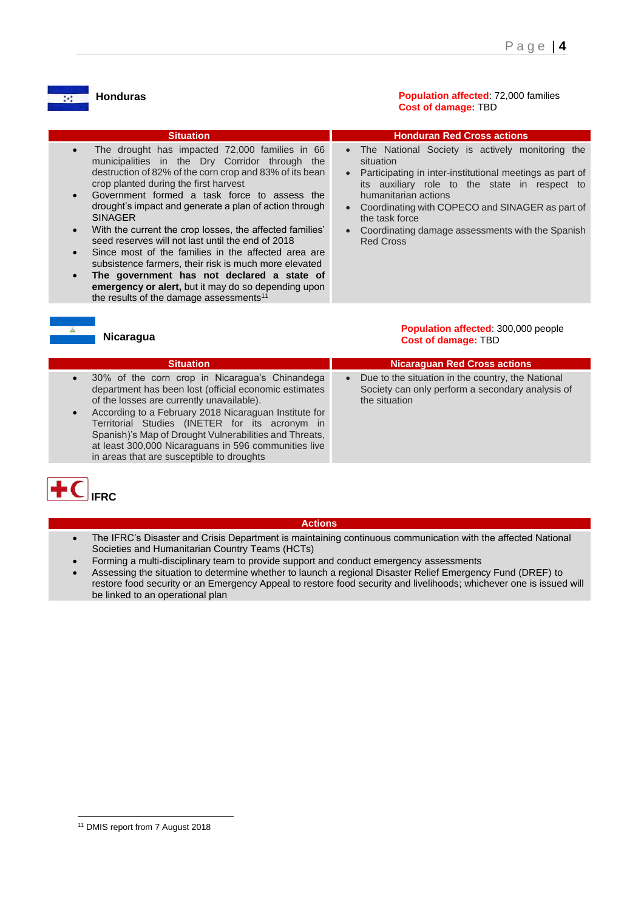# **Honduras**

 $\frac{1}{4}$   $\star$   $\frac{1}{4}$ 

**Population affected**: 72,000 families **Cost of damage:** TBD

| <b>Situation</b>                                                                                                                                                                                                                                                                                                                                                                                                                                                                                                                                                                                                                                                                                                                           | <b>Honduran Red Cross actions</b>                                                                                                                                                                                                                                                                                                                                                       |
|--------------------------------------------------------------------------------------------------------------------------------------------------------------------------------------------------------------------------------------------------------------------------------------------------------------------------------------------------------------------------------------------------------------------------------------------------------------------------------------------------------------------------------------------------------------------------------------------------------------------------------------------------------------------------------------------------------------------------------------------|-----------------------------------------------------------------------------------------------------------------------------------------------------------------------------------------------------------------------------------------------------------------------------------------------------------------------------------------------------------------------------------------|
| The drought has impacted 72,000 families in 66<br>municipalities in the Dry Corridor through the<br>destruction of 82% of the corn crop and 83% of its bean<br>crop planted during the first harvest<br>Government formed a task force to assess the<br>drought's impact and generate a plan of action through<br><b>SINAGER</b><br>With the current the crop losses, the affected families'<br>$\bullet$<br>seed reserves will not last until the end of 2018<br>Since most of the families in the affected area are<br>subsistence farmers, their risk is much more elevated<br>The government has not declared a state of<br>emergency or alert, but it may do so depending upon<br>the results of the damage assessments <sup>11</sup> | • The National Society is actively monitoring the<br>situation<br>Participating in inter-institutional meetings as part of<br>$\bullet$<br>its auxiliary role to the state in respect to<br>humanitarian actions<br>Coordinating with COPECO and SINAGER as part of<br>$\bullet$<br>the task force<br>Coordinating damage assessments with the Spanish<br>$\bullet$<br><b>Red Cross</b> |

# **Nicaragua**

#### **Population affected**: 300,000 people **Cost of damage:** TBD

| <b>Situation</b>                                                                                                                                                                                                                                                                                                          | <b>Nicaraguan Red Cross actions</b>                                                                                    |
|---------------------------------------------------------------------------------------------------------------------------------------------------------------------------------------------------------------------------------------------------------------------------------------------------------------------------|------------------------------------------------------------------------------------------------------------------------|
| 30% of the corn crop in Nicaragua's Chinandega<br>department has been lost (official economic estimates<br>of the losses are currently unavailable).<br>According to a February 2018 Nicaraguan Institute for<br>Territorial Studies (INETER for its acronym in<br>Spanish)'s Map of Drought Vulnerabilities and Threats, | Due to the situation in the country, the National<br>Society can only perform a secondary analysis of<br>the situation |



#### **Actions**

- The IFRC's Disaster and Crisis Department is maintaining continuous communication with the affected National Societies and Humanitarian Country Teams (HCTs)
- Forming a multi-disciplinary team to provide support and conduct emergency assessments

at least 300,000 Nicaraguans in 596 communities live

in areas that are susceptible to droughts

• Assessing the situation to determine whether to launch a regional Disaster Relief Emergency Fund (DREF) to restore food security or an Emergency Appeal to restore food security and livelihoods; whichever one is issued will be linked to an operational plan

1

<sup>&</sup>lt;sup>11</sup> DMIS report from 7 August 2018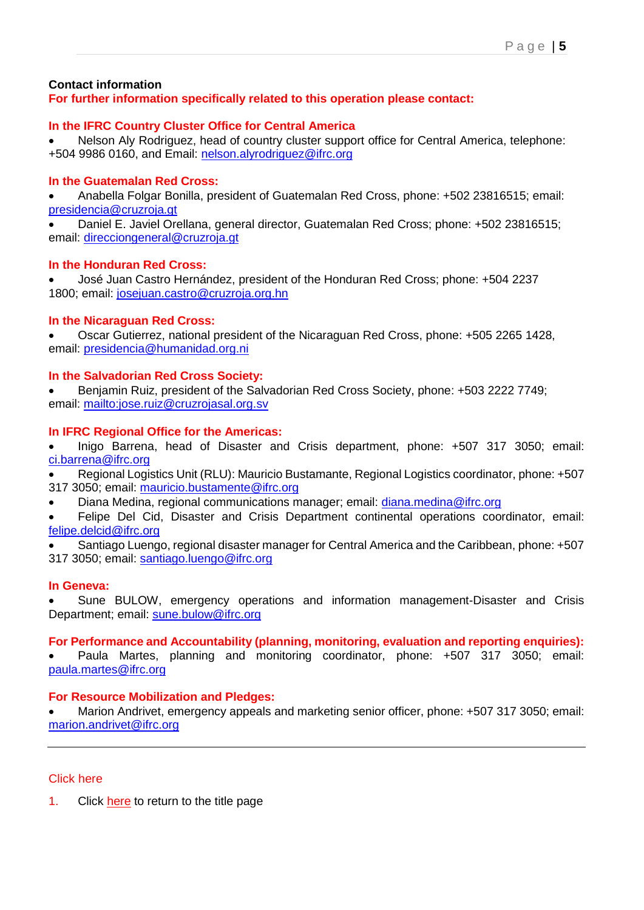## **Contact information For further information specifically related to this operation please contact:**

# **In the IFRC Country Cluster Office for Central America**

• Nelson Aly Rodriguez, head of country cluster support office for Central America, telephone: +504 9986 0160, and Email: [nelson.alyrodriguez@ifrc.org](mailto:nelson.alyrodriguez@ifrc.org) 

# **In the Guatemalan Red Cross:**

• Anabella Folgar Bonilla, president of Guatemalan Red Cross, phone: +502 23816515; email: [presidencia@cruzroja.gt](mailto:presidencia@cruzroja.gt) 

• Daniel E. Javiel Orellana, general director, Guatemalan Red Cross; phone: +502 23816515; email: [direcciongeneral@cruzroja.gt](mailto:direcciongeneral@cruzroja.gt) 

# **In the Honduran Red Cross:**

• José Juan Castro Hernández, president of the Honduran Red Cross; phone: +504 2237 1800; email: [josejuan.castro@cruzroja.org.hn](mailto:josejuan.castro@cruzroja.org.hn)

# **In the Nicaraguan Red Cross:**

• Oscar Gutierrez, national president of the Nicaraguan Red Cross, phone: +505 2265 1428, email: [presidencia@humanidad.org.ni](mailto:presidencia@humanidad.org.n)

## **In the Salvadorian Red Cross Society:**

• Benjamin Ruiz, president of the Salvadorian Red Cross Society, phone: +503 2222 7749; email:<mailto:jose.ruiz@cruzrojasal.org.sv>

# **In IFRC Regional Office for the Americas:**

• Inigo Barrena, head of Disaster and Crisis department, phone: +507 317 3050; email: [ci.barrena@ifrc.org](mailto:ci.barrena@ifrc.org)

• Regional Logistics Unit (RLU): Mauricio Bustamante, Regional Logistics coordinator, phone: +507 317 3050; email: [mauricio.bustamente@ifrc.org](mailto:Mauricio.bustamente@ifrc.org)

• Diana Medina, regional communications manager; email: [diana.medina@ifrc.org](mailto:diana.medina@ifrc.org)

• Felipe Del Cid, Disaster and Crisis Department continental operations coordinator, email: [felipe.delcid@ifrc.org](mailto:Felipe.delcid@ifrc.org)

• Santiago Luengo, regional disaster manager for Central America and the Caribbean, phone: +507 317 3050; email: [santiago.luengo@ifrc.org](mailto:santiago.luengo@ifrc.org)

# **In Geneva:**

• Sune BULOW, emergency operations and information management-Disaster and Crisis Department; email: [sune.bulow@ifrc.org](mailto:sune.bulow@ifrc.org)

# **For Performance and Accountability (planning, monitoring, evaluation and reporting enquiries):**

• Paula Martes, planning and monitoring coordinator, phone: +507 317 3050; email: [paula.martes@ifrc.org](mailto:paula.martes@ifrc.org)

# **For Resource Mobilization and Pledges:**

• Marion Andrivet, emergency appeals and marketing senior officer, phone: +507 317 3050; email: [marion.andrivet@ifrc.org](mailto:marion.andrivet@ifrc.org) 

### Click here

1. Click here to return to the title page